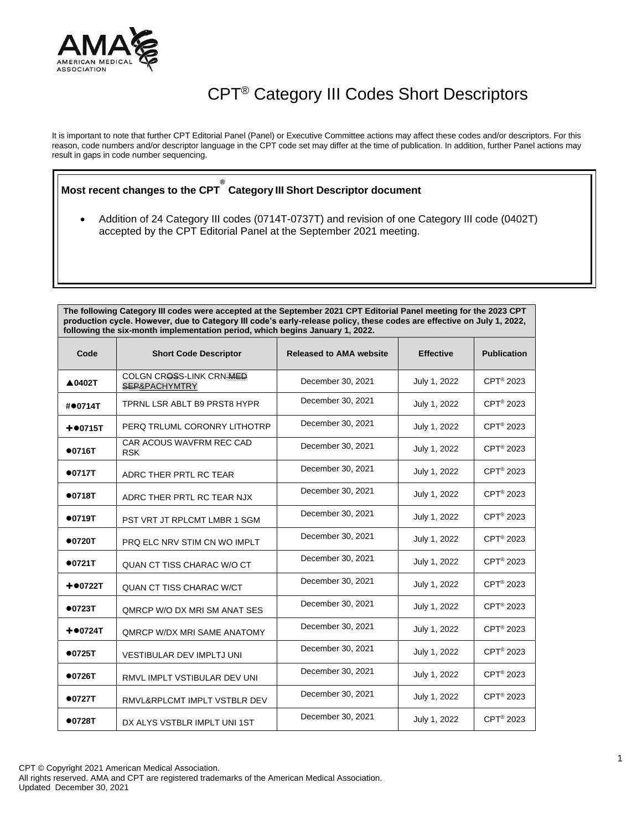

## CPT® Category III Codes Short Descriptors

It is important to note that further CPT Editorial Panel (Panel) or Executive Committee actions may affect these codes and/or descriptors. For this reason, code numbers and/or descriptor language in the CPT code set may differ at the time of publication. In addition, further Panel actions may result in gaps in code number sequencing.

**Most recent changes to the CPT ® Category III Short Descriptor document**

• Addition of 24 Category III codes (0714T-0737T) and revision of one Category III code (0402T) accepted by the CPT Editorial Panel at the September 2021 meeting.

**The following Category III codes were accepted at the September 2021 CPT Editorial Panel meeting for the 2023 CPT** 

| production cycle. However, due to Category III code's early-release policy, these codes are effective on July 1, 2022,<br>following the six-month implementation period, which begins January 1, 2022. |                                           |                                |                  |                       |  |  |  |
|--------------------------------------------------------------------------------------------------------------------------------------------------------------------------------------------------------|-------------------------------------------|--------------------------------|------------------|-----------------------|--|--|--|
| Code                                                                                                                                                                                                   | <b>Short Code Descriptor</b>              | <b>Released to AMA website</b> | <b>Effective</b> | <b>Publication</b>    |  |  |  |
| <b>▲0402T</b>                                                                                                                                                                                          | COLGN CROSS-LINK CRN-MED<br>SEP&PACHYMTRY | December 30, 2021              | July 1, 2022     | CPT <sup>®</sup> 2023 |  |  |  |
| #●0714T                                                                                                                                                                                                | TPRNL LSR ABLT B9 PRST8 HYPR              | December 30, 2021              | July 1, 2022     | CPT <sup>®</sup> 2023 |  |  |  |
| $+•0715T$                                                                                                                                                                                              | PERQ TRLUML CORONRY LITHOTRP              | December 30, 2021              | July 1, 2022     | CPT <sup>®</sup> 2023 |  |  |  |
| •0716T                                                                                                                                                                                                 | CAR ACOUS WAVFRM REC CAD<br><b>RSK</b>    | December 30, 2021              | July 1, 2022     | CPT <sup>®</sup> 2023 |  |  |  |
| •0717T                                                                                                                                                                                                 | ADRC THER PRTL RC TEAR                    | December 30, 2021              | July 1, 2022     | CPT <sup>®</sup> 2023 |  |  |  |
| •0718T                                                                                                                                                                                                 | ADRC THER PRTL RC TEAR NJX                | December 30, 2021              | July 1, 2022     | CPT <sup>®</sup> 2023 |  |  |  |
| •0719T                                                                                                                                                                                                 | PST VRT JT RPLCMT LMBR 1 SGM              | December 30, 2021              | July 1, 2022     | CPT <sup>®</sup> 2023 |  |  |  |
| •0720T                                                                                                                                                                                                 | PRQ ELC NRV STIM CN WO IMPLT              | December 30, 2021              | July 1, 2022     | CPT <sup>®</sup> 2023 |  |  |  |
| •0721T                                                                                                                                                                                                 | QUAN CT TISS CHARAC W/O CT                | December 30, 2021              | July 1, 2022     | CPT <sup>®</sup> 2023 |  |  |  |
| $+ 0722T$                                                                                                                                                                                              | <b>QUAN CT TISS CHARAC W/CT</b>           | December 30, 2021              | July 1, 2022     | CPT <sup>®</sup> 2023 |  |  |  |
| •0723T                                                                                                                                                                                                 | QMRCP W/O DX MRI SM ANAT SES              | December 30, 2021              | July 1, 2022     | CPT <sup>®</sup> 2023 |  |  |  |
| $+00724T$                                                                                                                                                                                              | <b>QMRCP W/DX MRI SAME ANATOMY</b>        | December 30, 2021              | July 1, 2022     | CPT <sup>®</sup> 2023 |  |  |  |
| •0725T                                                                                                                                                                                                 | <b>VESTIBULAR DEV IMPLTJ UNI</b>          | December 30, 2021              | July 1, 2022     | CPT <sup>®</sup> 2023 |  |  |  |
| •0726T                                                                                                                                                                                                 | RMVL IMPLT VSTIBULAR DEV UNI              | December 30, 2021              | July 1, 2022     | CPT <sup>®</sup> 2023 |  |  |  |
| •0727T                                                                                                                                                                                                 | RMVL&RPLCMT IMPLT VSTBLR DEV              | December 30, 2021              | July 1, 2022     | CPT <sup>®</sup> 2023 |  |  |  |
| •0728T                                                                                                                                                                                                 | DX ALYS VSTBLR IMPLT UNI 1ST              | December 30, 2021              | July 1, 2022     | CPT <sup>®</sup> 2023 |  |  |  |